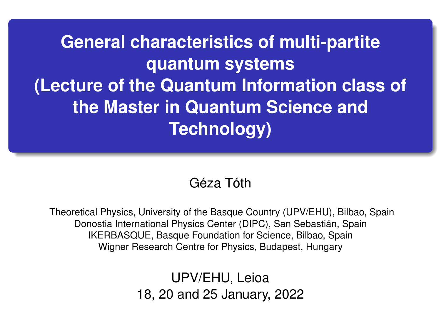**General characteristics of multi-partite quantum systems (Lecture of the Quantum Information class of the Master in Quantum Science and Technology)**

#### Géza Tóth

Theoretical Physics, University of the Basque Country (UPV/EHU), Bilbao, Spain Donostia International Physics Center (DIPC), San Sebastián, Spain IKERBASQUE, Basque Foundation for Science, Bilbao, Spain Wigner Research Centre for Physics, Budapest, Hungary

> UPV/EHU, Leioa 18, 20 and 25 January, 2022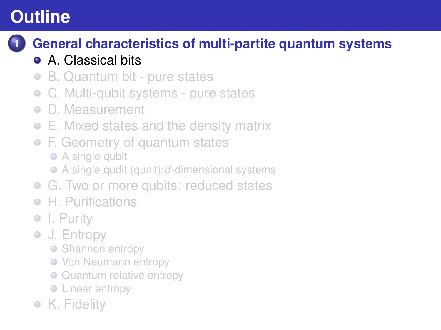# <span id="page-1-0"></span>**Outline**

## **1 [General characteristics of multi-partite quantum systems](#page-1-0)**

### [A. Classical bits](#page-1-0)

- [B. Quantum bit pure states](#page-11-0)  $\bullet$
- $\bullet$ [C. Multi-qubit systems - pure states](#page-13-0)
- [D. Measurement](#page-17-0)  $\bullet$
- [E. Mixed states and the density matrix](#page-19-0)
- [F. Geometry of quantum states](#page-25-0)
	- [A single qubit](#page-26-0)
	- A single qudit (qunit):*d*[-dimensional systems](#page-29-0)
- **G.** Two or more qubits: reduced states
- [H. Purifications](#page-45-0)
- [I. Purity](#page-49-0)
- **[J. Entropy](#page-51-0)** 
	- [Shannon entropy](#page-52-0)
	- **[Von Neumann entropy](#page-55-0)**
	- [Quantum relative entropy](#page-59-0)
	- **C** [Linear entropy](#page-61-0)
- [K. Fidelity](#page-62-0)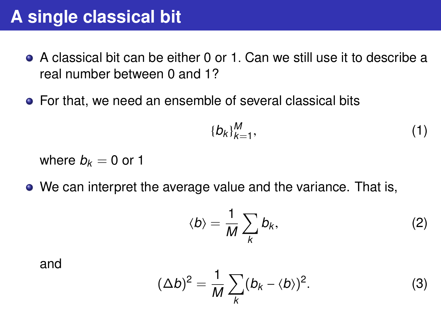# **A single classical bit**

- A classical bit can be either 0 or 1. Can we still use it to describe a real number between 0 and 1?
- For that, we need an ensemble of several classical bits

$$
\{b_k\}_{k=1}^M,\tag{1}
$$

where  $b_k = 0$  or 1

We can interpret the average value and the variance. That is,

$$
\langle b \rangle = \frac{1}{M} \sum_{k} b_{k}, \qquad (2)
$$

and

$$
(\Delta b)^2 = \frac{1}{M} \sum_{k} (b_k - \langle b \rangle)^2.
$$
 (3)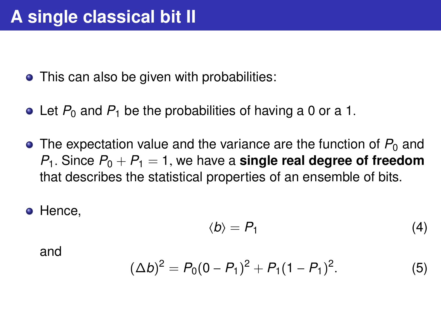- This can also be given with probabilities:
- $\bullet$  Let  $P_0$  and  $P_1$  be the probabilities of having a 0 or a 1.
- $\bullet$  The expectation value and the variance are the function of  $P_0$  and  $P_1$ . Since  $P_0 + P_1 = 1$ , we have a **single real degree of freedom** that describes the statistical properties of an ensemble of bits.
- Hence,

$$
\langle b \rangle = P_1 \tag{4}
$$

and

$$
(\Delta b)^2 = P_0(0 - P_1)^2 + P_1(1 - P_1)^2. \tag{5}
$$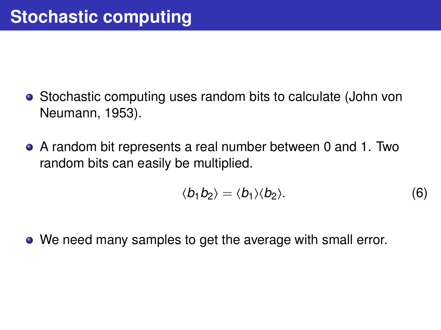- Stochastic computing uses random bits to calculate (John von Neumann, 1953).
- A random bit represents a real number between 0 and 1. Two random bits can easily be multiplied.

$$
\langle b_1 b_2 \rangle = \langle b_1 \rangle \langle b_2 \rangle. \tag{6}
$$

We need many samples to get the average with small error.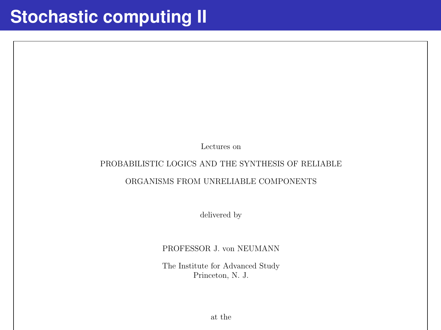Lectures on

#### PROBABILISTIC LOGICS AND THE SYNTHESIS OF RELIABLE

ORGANISMS FROM UNRELIABLE COMPONENTS

delivered by

PROFESSOR J. von NEUMANN

The Institute for Advanced Study Princeton, N. J.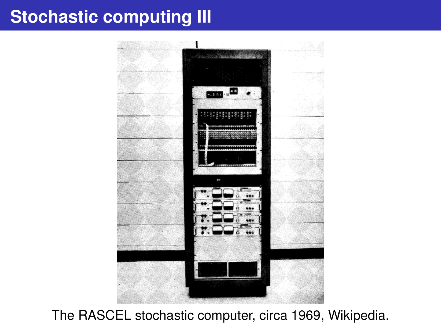# **Stochastic computing III**



The RASCEL stochastic computer, circa 1969, Wikipedia.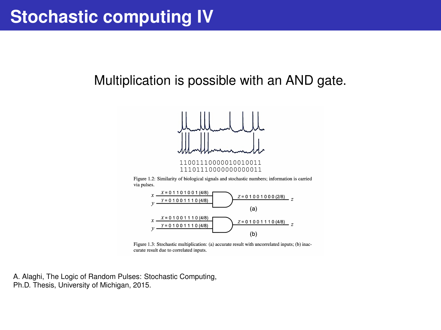# **Stochastic computing IV**

#### Multiplication is possible with an AND gate.



Figure 1.2: Similarity of biological signals and stochastic numbers; information is carried via pulses.



Figure 1.3: Stochastic multiplication: (a) accurate result with uncorrelated inputs; (b) inaccurate result due to correlated inputs.

A. Alaghi, The Logic of Random Pulses: Stochastic Computing, Ph.D. Thesis, University of Michigan, 2015.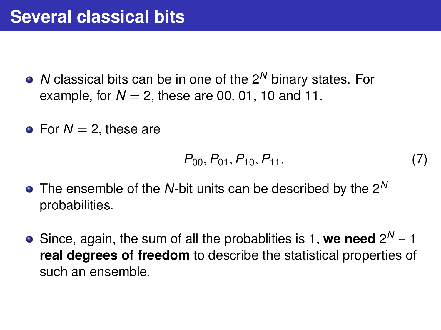- *N* classical bits can be in one of the 2*<sup>N</sup>* binary states. For example, for  $N = 2$ , these are 00, 01, 10 and 11.
- For  $N = 2$ , these are

$$
P_{00}, P_{01}, P_{10}, P_{11}.\tag{7}
$$

- The ensemble of the *N*-bit units can be described by the 2*<sup>N</sup>* probabilities.
- Since, again, the sum of all the probablities is 1, **we need**  $2^N 1$ <br>**real degrees of freedom** to describe the statistical properties of **real degrees of freedom** to describe the statistical properties of such an ensemble.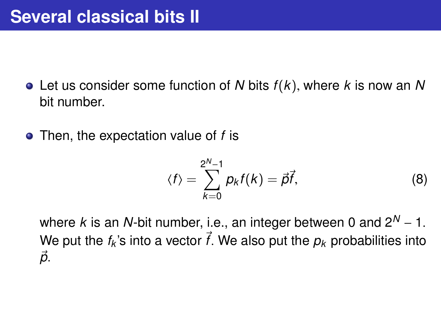- Let us consider some function of *<sup>N</sup>* bits *<sup>f</sup>*(*k*), where *<sup>k</sup>* is now an *<sup>N</sup>* bit number.
- Then, the expectation value of *f* is

<span id="page-9-0"></span>
$$
\langle f \rangle = \sum_{k=0}^{2^N-1} p_k f(k) = \vec{\beta} \vec{f}, \tag{8}
$$

where *k* is an *N*-bit number, i.e., an integer between 0 and  $2^N - 1$ . We put the  $f_k$ 's into a vector  $\vec{f}$ . We also put the  $p_k$  probabilities into  $\vec{\rho}$ .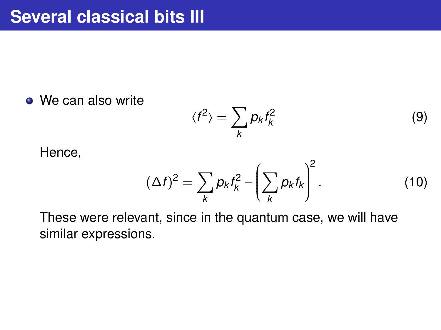• We can also write

$$
\langle f^2 \rangle = \sum_k p_k f_k^2 \tag{9}
$$

Hence,

$$
(\Delta f)^2 = \sum_k p_k f_k^2 - \left(\sum_k p_k f_k\right)^2.
$$
 (10)

These were relevant, since in the quantum case, we will have similar expressions.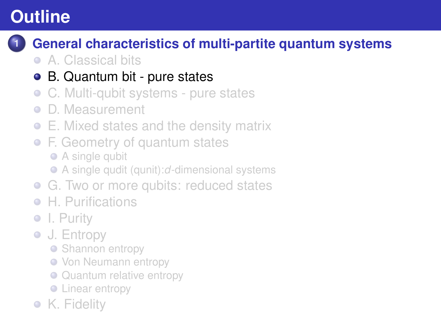# <span id="page-11-0"></span>**Outline**

# **1 [General characteristics of multi-partite quantum systems](#page-1-0)**

● [A. Classical bits](#page-1-0)

### [B. Quantum bit - pure states](#page-11-0)

- [C. Multi-qubit systems pure states](#page-13-0)  $\bullet$
- [D. Measurement](#page-17-0)  $\bullet$
- [E. Mixed states and the density matrix](#page-19-0)
- [F. Geometry of quantum states](#page-25-0)
	- [A single qubit](#page-26-0)
	- A single qudit (qunit):*d*[-dimensional systems](#page-29-0)
- **G.** Two or more qubits: reduced states
- [H. Purifications](#page-45-0)
- [I. Purity](#page-49-0)
- **[J. Entropy](#page-51-0)** 
	- [Shannon entropy](#page-52-0)
	- **[Von Neumann entropy](#page-55-0)**
	- [Quantum relative entropy](#page-59-0)
	- **C** [Linear entropy](#page-61-0)
- [K. Fidelity](#page-62-0)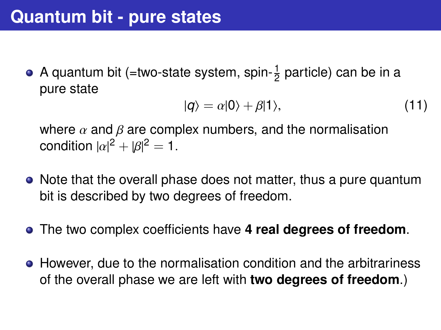A quantum bit (=two-state system, spin- $\frac{1}{2}$  particle) can be in a pure state

$$
|q\rangle = \alpha|0\rangle + \beta|1\rangle, \tag{11}
$$

where  $\alpha$  and  $\beta$  are complex numbers, and the normalisation condition  $|\alpha|^2 + |\beta|^2 = 1$ .

- Note that the overall phase does not matter, thus a pure quantum bit is described by two degrees of freedom.
- The two complex coefficients have **4 real degrees of freedom**.
- However, due to the normalisation condition and the arbitrariness of the overall phase we are left with **two degrees of freedom**.)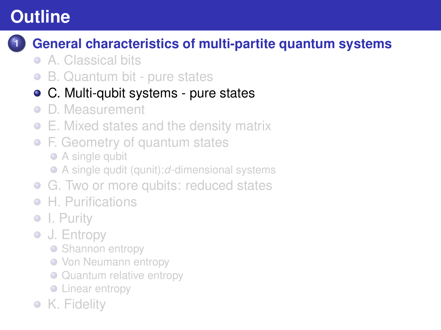# <span id="page-13-0"></span>**Outline**

### **1 [General characteristics of multi-partite quantum systems](#page-1-0)**

- [A. Classical bits](#page-1-0)
- [B. Quantum bit pure states](#page-11-0)  $\bullet$
- [C. Multi-qubit systems pure states](#page-13-0)
- [D. Measurement](#page-17-0)  $\bullet$
- [E. Mixed states and the density matrix](#page-19-0)
- [F. Geometry of quantum states](#page-25-0)
	- [A single qubit](#page-26-0)
	- A single qudit (qunit):*d*[-dimensional systems](#page-29-0)
- **G.** Two or more qubits: reduced states
- [H. Purifications](#page-45-0)
- [I. Purity](#page-49-0)
- **[J. Entropy](#page-51-0)** 
	- [Shannon entropy](#page-52-0)
	- **[Von Neumann entropy](#page-55-0)**
	- [Quantum relative entropy](#page-59-0)
	- **C** [Linear entropy](#page-61-0)
- [K. Fidelity](#page-62-0)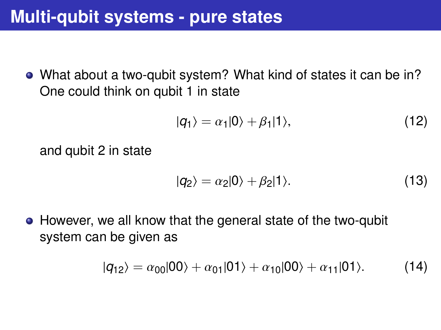## **Multi-qubit systems - pure states**

What about a two-qubit system? What kind of states it can be in? One could think on qubit 1 in state

$$
|q_1\rangle = \alpha_1|0\rangle + \beta_1|1\rangle, \tag{12}
$$

and qubit 2 in state

$$
|q_2\rangle = \alpha_2|0\rangle + \beta_2|1\rangle.
$$
 (13)

However, we all know that the general state of the two-qubit system can be given as

$$
|q_{12}\rangle = \alpha_{00}|00\rangle + \alpha_{01}|01\rangle + \alpha_{10}|00\rangle + \alpha_{11}|01\rangle. \tag{14}
$$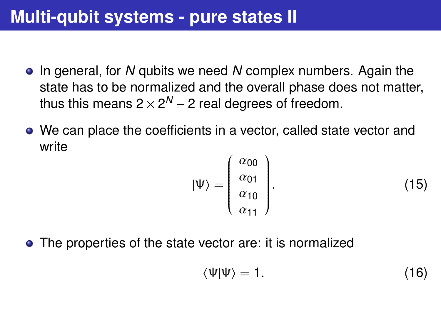# **Multi-qubit systems - pure states II**

- In general, for *N* qubits we need *N* complex numbers. Again the state has to be normalized and the overall phase does not matter, thus this means 2  $\times$  2<sup>N</sup> – 2 real degrees of freedom.
- We can place the coefficients in a vector, called state vector and write

$$
|\Psi\rangle = \begin{pmatrix} \alpha_{00} \\ \alpha_{01} \\ \alpha_{10} \\ \alpha_{11} \end{pmatrix} .
$$
 (15)

• The properties of the state vector are: it is normalized

$$
\langle \Psi | \Psi \rangle = 1. \tag{16}
$$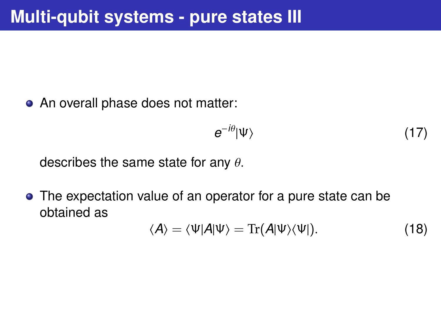• An overall phase does not matter:

$$
e^{-i\theta}|\Psi\rangle \tag{17}
$$

describes the same state for any  $\theta$ .

• The expectation value of an operator for a pure state can be obtained as

$$
\langle A \rangle = \langle \Psi | A | \Psi \rangle = \text{Tr}(A | \Psi \rangle \langle \Psi |).
$$
 (18)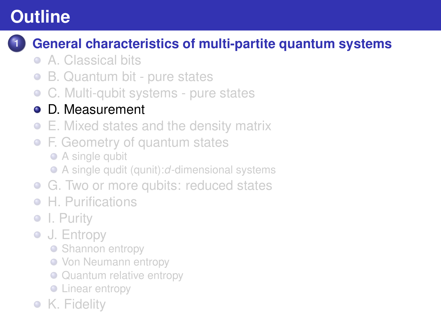# <span id="page-17-0"></span>**Outline**

### **1 [General characteristics of multi-partite quantum systems](#page-1-0)**

- [A. Classical bits](#page-1-0)
- [B. Quantum bit pure states](#page-11-0)  $\bullet$
- [C. Multi-qubit systems pure states](#page-13-0)

#### [D. Measurement](#page-17-0)

- [E. Mixed states and the density matrix](#page-19-0)
- [F. Geometry of quantum states](#page-25-0)
	- [A single qubit](#page-26-0)
	- A single qudit (qunit):*d*[-dimensional systems](#page-29-0)
- **G.** Two or more qubits: reduced states
- [H. Purifications](#page-45-0)
- [I. Purity](#page-49-0)
- **[J. Entropy](#page-51-0)** 
	- [Shannon entropy](#page-52-0)
	- **[Von Neumann entropy](#page-55-0)**
	- [Quantum relative entropy](#page-59-0)
	- **C** [Linear entropy](#page-61-0)
- [K. Fidelity](#page-62-0)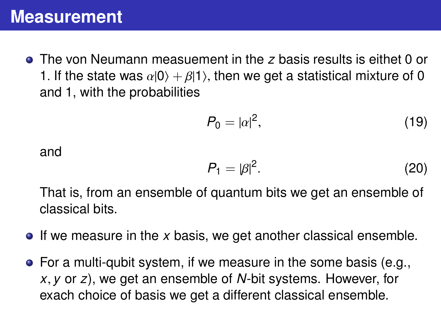The von Neumann measuement in the *z* basis results is eithet 0 or 1. If the state was  $\alpha|0\rangle + \beta|1\rangle$ , then we get a statistical mixture of 0 and 1, with the probabilities

$$
P_0 = |\alpha|^2, \tag{19}
$$

and

$$
P_1 = |\beta|^2. \tag{20}
$$

That is, from an ensemble of quantum bits we get an ensemble of classical bits.

- If we measure in the *x* basis, we get another classical ensemble.
- For a multi-qubit system, if we measure in the some basis (e.g., *<sup>x</sup>*, *<sup>y</sup>* or *<sup>z</sup>*), we get an ensemble of *<sup>N</sup>*-bit systems. However, for exach choice of basis we get a different classical ensemble.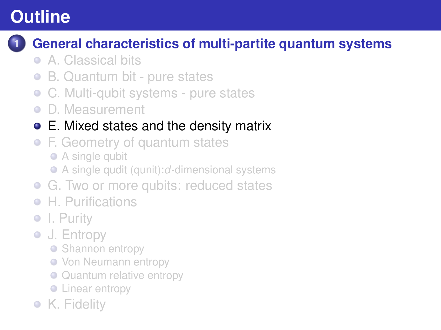# <span id="page-19-0"></span>**Outline**

### **1 [General characteristics of multi-partite quantum systems](#page-1-0)**

- [A. Classical bits](#page-1-0)
- [B. Quantum bit pure states](#page-11-0)  $\bullet$
- [C. Multi-qubit systems pure states](#page-13-0)  $\bullet$
- [D. Measurement](#page-17-0)  $\bullet$

## [E. Mixed states and the density matrix](#page-19-0)

- [F. Geometry of quantum states](#page-25-0)
	- [A single qubit](#page-26-0)
	- A single qudit (qunit):*d*[-dimensional systems](#page-29-0)
- **G.** Two or more qubits: reduced states
- [H. Purifications](#page-45-0)
- [I. Purity](#page-49-0)
- **[J. Entropy](#page-51-0)** 
	- [Shannon entropy](#page-52-0)
	- **[Von Neumann entropy](#page-55-0)**
	- [Quantum relative entropy](#page-59-0)
	- **C** [Linear entropy](#page-61-0)
- [K. Fidelity](#page-62-0)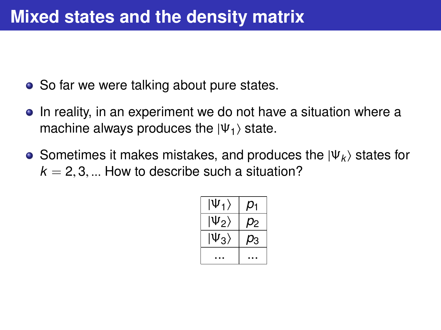- So far we were talking about pure states.
- In reality, in an experiment we do not have a situation where a machine always produces the  $|\Psi_1\rangle$  state.
- **•** Sometimes it makes mistakes, and produces the  $|\Psi_k\rangle$  states for  $k = 2, 3, ...$  How to describe such a situation?

| $\Psi_{1}$       |    |
|------------------|----|
| $ \Psi_2\rangle$ | りつ |
| $\ket{\Psi_3}$   | ٩  |
|                  |    |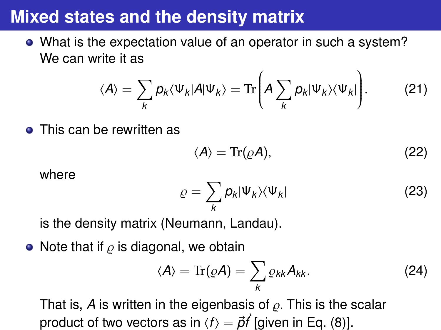# **Mixed states and the density matrix**

What is the expectation value of an operator in such a system? We can write it as

$$
\langle A \rangle = \sum_{k} p_{k} \langle \Psi_{k} | A | \Psi_{k} \rangle = \text{Tr} \left( A \sum_{k} p_{k} | \Psi_{k} \rangle \langle \Psi_{k} | \right). \tag{21}
$$

**•** This can be rewritten as

$$
\langle A \rangle = \text{Tr}(\varrho A),\tag{22}
$$

where

$$
\varrho = \sum_{k} p_{k} |\Psi_{k}\rangle\langle\Psi_{k}| \tag{23}
$$

is the density matrix (Neumann, Landau).

• Note that if  $\rho$  is diagonal, we obtain

$$
\langle A \rangle = \text{Tr}(\varrho A) = \sum_{k} \varrho_{kk} A_{kk}.
$$
 (24)

That is, A is written in the eigenbasis of  $\rho$ . This is the scalar product of two vectors as in  $\langle f \rangle = \vec{\rho} f$  [given in Eq. [\(8\)](#page-9-0)].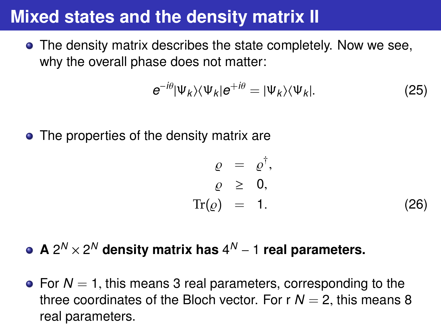# **Mixed states and the density matrix II**

**•** The density matrix describes the state completely. Now we see, why the overall phase does not matter:

$$
e^{-i\theta}|\Psi_k\rangle\langle\Psi_k|e^{+i\theta}=|\Psi_k\rangle\langle\Psi_k|.\tag{25}
$$

• The properties of the density matrix are

<span id="page-22-0"></span>
$$
\begin{array}{rcl}\n\varrho & = & \varrho^{\dagger}, \\
\varrho & \geq & 0, \\
\text{Tr}(\varrho) & = & 1.\n\end{array} \tag{26}
$$

#### **A**  $2^N \times 2^N$  density matrix has  $4^N-1$  real parameters.

 $\bullet$  For  $N = 1$ , this means 3 real parameters, corresponding to the three coordinates of the Bloch vector. For  $r = 2$ , this means 8 real parameters.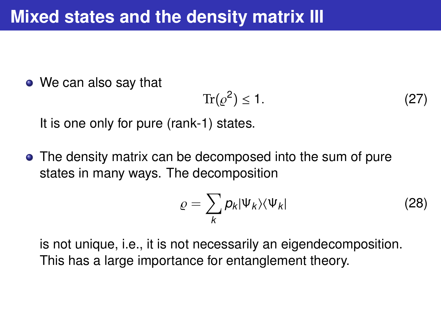• We can also say that

$$
\operatorname{Tr}(\varrho^2) \le 1. \tag{27}
$$

It is one only for pure (rank-1) states.

• The density matrix can be decomposed into the sum of pure states in many ways. The decomposition

$$
\varrho = \sum_{k} p_{k} |\Psi_{k}\rangle\langle\Psi_{k}| \tag{28}
$$

is not unique, i.e., it is not necessarily an eigendecomposition. This has a large importance for entanglement theory.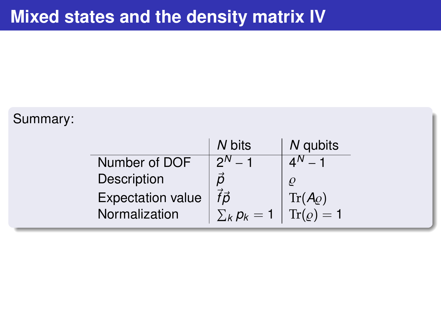#### Summary:

|                          | N bits               | N qubits           |
|--------------------------|----------------------|--------------------|
| Number of DOF            |                      |                    |
| Description              |                      |                    |
| <b>Expectation value</b> | $\vec f\vec p$       | $\text{Tr}(A_{Q})$ |
| Normalization            | $\sum_{k} p_{k} = 1$ | $Tr(\rho) = 1$     |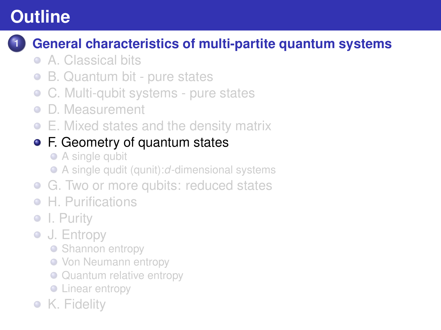# <span id="page-25-0"></span>**Outline**

### **1 [General characteristics of multi-partite quantum systems](#page-1-0)**

- [A. Classical bits](#page-1-0)
- [B. Quantum bit pure states](#page-11-0)  $\bullet$
- [C. Multi-qubit systems pure states](#page-13-0)  $\bullet$
- [D. Measurement](#page-17-0)  $\bullet$
- [E. Mixed states and the density matrix](#page-19-0)

## [F. Geometry of quantum states](#page-25-0)

- [A single qubit](#page-26-0)
- A single qudit (qunit):*d*[-dimensional systems](#page-29-0)
- **G.** Two or more qubits: reduced states
- [H. Purifications](#page-45-0)
- [I. Purity](#page-49-0)
- **[J. Entropy](#page-51-0)** 
	- [Shannon entropy](#page-52-0)
	- **[Von Neumann entropy](#page-55-0)**
	- [Quantum relative entropy](#page-59-0)
	- **C** [Linear entropy](#page-61-0)
- [K. Fidelity](#page-62-0)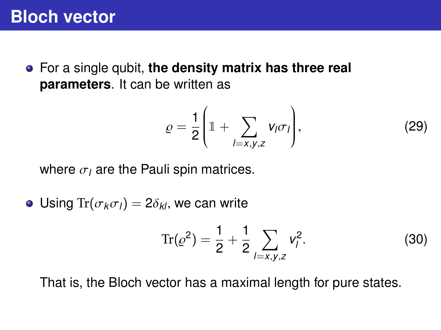<span id="page-26-0"></span>For a single qubit, **the density matrix has three real parameters**. It can be written as

$$
\varrho = \frac{1}{2} \left( \mathbb{1} + \sum_{l=x,y,z} v_l \sigma_l \right), \tag{29}
$$

where  $\sigma_l$  are the Pauli spin matrices.

• Using  $Tr(\sigma_k \sigma_l) = 2\delta_{kl}$ , we can write

$$
Tr(\varrho^2) = \frac{1}{2} + \frac{1}{2} \sum_{l=x,y,z} v_l^2.
$$
 (30)

That is, the Bloch vector has a maximal length for pure states.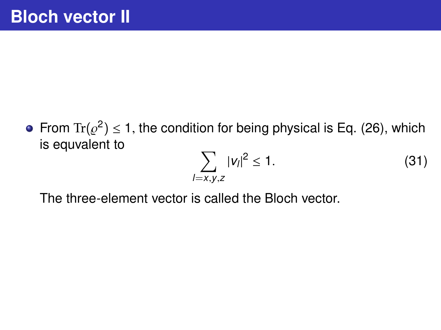From  $\text{Tr}(\varrho^2)\leq 1$ , the condition for being physical is Eq. [\(26\)](#page-22-0), which<br>is equivalent to is equvalent to

$$
\sum_{l=x,y,z} |v_l|^2 \le 1.
$$
 (31)

The three-element vector is called the Bloch vector.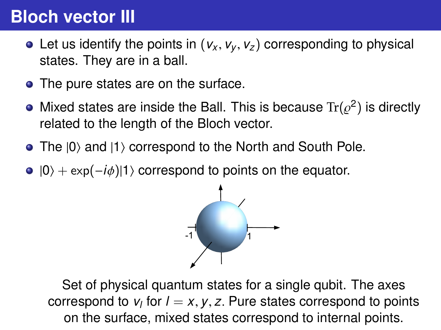# **Bloch vector III**

- Let us identify the points in  $(v_x, v_y, v_z)$  corresponding to physical states. They are in a ball.
- The pure states are on the surface.
- Mixed states are inside the Ball. This is because  $\text{Tr}(\varrho^2)$  is directly<br>related to the length of the Bloch vector related to the length of the Bloch vector.
- $\bullet$  The  $|0\rangle$  and  $|1\rangle$  correspond to the North and South Pole.
- $|0\rangle + \exp(-i\phi)|1\rangle$  correspond to points on the equator.



Set of physical quantum states for a single qubit. The axes correspond to  $v_l$  for  $l = x, y, z$ . Pure states correspond to points<br>on the surface mixed states correspond to internal points on the surface, mixed states correspond to internal points.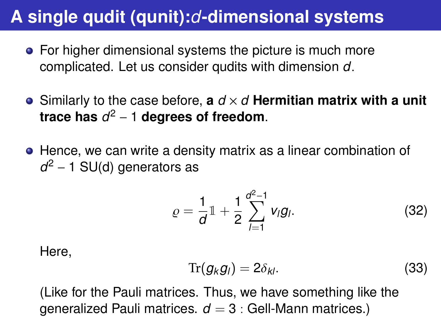# <span id="page-29-0"></span>**A single qudit (qunit):***d***-dimensional systems**

- For higher dimensional systems the picture is much more complicated. Let us consider qudits with dimension *<sup>d</sup>*.
- Similarly to the case before,  $\mathbf{a} \, d \times d$  **Hermitian matrix with a unit trace has** *d* <sup>2</sup> − 1 **degrees of freedom**.
- Hence, we can write a density matrix as a linear combination of *d*<sup>2</sup> − 1 SU(d) generators as

$$
\varrho = \frac{1}{d} \mathbb{1} + \frac{1}{2} \sum_{l=1}^{d^2-1} v_l g_l. \tag{32}
$$

Here,

$$
\operatorname{Tr}(g_k g_l) = 2\delta_{kl}.\tag{33}
$$

(Like for the Pauli matrices. Thus, we have something like the generalized Pauli matrices.  $d = 3$ : Gell-Mann matrices.)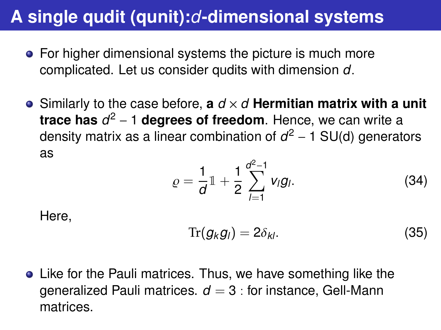# **A single qudit (qunit):***d***-dimensional systems**

- For higher dimensional systems the picture is much more complicated. Let us consider qudits with dimension *<sup>d</sup>*.
- $\bullet$  Similarly to the case before, **a**  $d \times d$  **Hermitian matrix with a unit trace has** *d* <sup>2</sup> − 1 **degrees of freedom**. Hence, we can write a density matrix as a linear combination of *d* <sup>2</sup> − 1 SU(d) generators as

$$
\varrho = \frac{1}{d} \mathbb{1} + \frac{1}{2} \sum_{l=1}^{d^2-1} v_l g_l. \tag{34}
$$

Here,

$$
\operatorname{Tr}(g_k g_l) = 2\delta_{kl}.\tag{35}
$$

• Like for the Pauli matrices. Thus, we have something like the generalized Pauli matrices.  $d = 3$ : for instance, Gell-Mann matrices.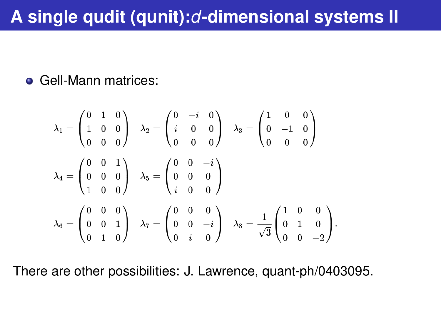# **A single qudit (qunit):***d***-dimensional systems II**

#### **• Gell-Mann matrices:**

$$
\lambda_1 = \begin{pmatrix} 0 & 1 & 0 \\ 1 & 0 & 0 \\ 0 & 0 & 0 \end{pmatrix} \quad \lambda_2 = \begin{pmatrix} 0 & -i & 0 \\ i & 0 & 0 \\ 0 & 0 & 0 \end{pmatrix} \quad \lambda_3 = \begin{pmatrix} 1 & 0 & 0 \\ 0 & -1 & 0 \\ 0 & 0 & 0 \end{pmatrix}
$$

$$
\lambda_4 = \begin{pmatrix} 0 & 0 & 1 \\ 0 & 0 & 0 \\ 1 & 0 & 0 \end{pmatrix} \quad \lambda_5 = \begin{pmatrix} 0 & 0 & -i \\ 0 & 0 & 0 \\ i & 0 & 0 \end{pmatrix}
$$

$$
\lambda_6 = \begin{pmatrix} 0 & 0 & 0 \\ 0 & 0 & 1 \\ 0 & 1 & 0 \end{pmatrix} \quad \lambda_7 = \begin{pmatrix} 0 & 0 & 0 \\ 0 & 0 & -i \\ 0 & i & 0 \end{pmatrix} \quad \lambda_8 = \frac{1}{\sqrt{3}} \begin{pmatrix} 1 & 0 & 0 \\ 0 & 1 & 0 \\ 0 & 0 & -2 \end{pmatrix}.
$$

There are other possibilities: J. Lawrence, quant-ph/0403095.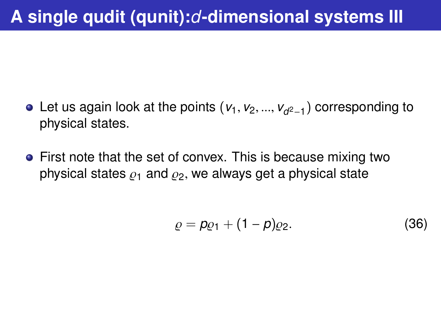- Let us again look at the points (*v*<sub>1</sub>, *v*<sub>2</sub>, ..., *v<sub>d*²−1</sub>) corresponding to<br>physical states physical states.
- First note that the set of convex. This is because mixing two physical states  $\rho_1$  and  $\rho_2$ , we always get a physical state

$$
\varrho = \rho \varrho_1 + (1 - \rho) \varrho_2. \tag{36}
$$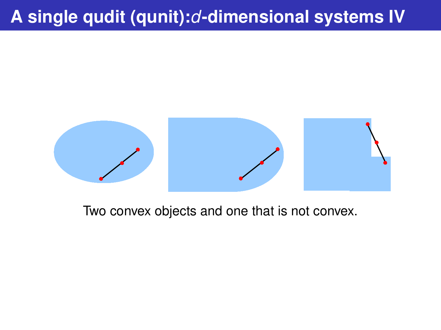# **A single qudit (qunit):***d***-dimensional systems IV**



#### Two convex objects and one that is not convex.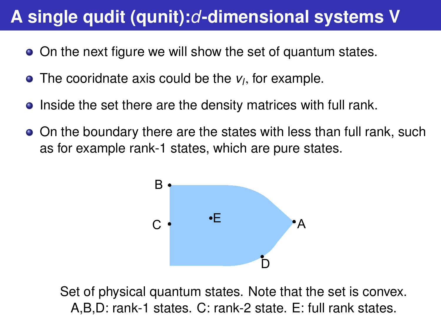# **A single qudit (qunit):***d***-dimensional systems V**

- On the next figure we will show the set of quantum states.
- The cooridnate axis could be the *v<sup>l</sup>* , for example.
- Inside the set there are the density matrices with full rank.
- On the boundary there are the states with less than full rank, such as for example rank-1 states, which are pure states.



Set of physical quantum states. Note that the set is convex. A,B,D: rank-1 states. C: rank-2 state. E: full rank states.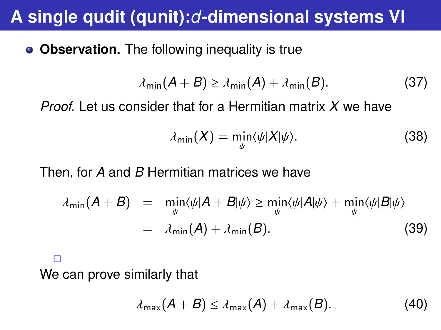# **A single qudit (qunit):***d***-dimensional systems VI**

**• Observation.** The following inequality is true

$$
\lambda_{\min}(A+B) \ge \lambda_{\min}(A) + \lambda_{\min}(B). \tag{37}
$$

*Proof.* Let us consider that for a Hermitian matrix *X* we have

$$
\lambda_{\min}(X) = \min_{\psi} \langle \psi | X | \psi \rangle. \tag{38}
$$

Then, for *A* and *B* Hermitian matrices we have

$$
\lambda_{\min}(A + B) = \min_{\psi} \langle \psi | A + B | \psi \rangle \ge \min_{\psi} \langle \psi | A | \psi \rangle + \min_{\psi} \langle \psi | B | \psi \rangle
$$
  
=  $\lambda_{\min}(A) + \lambda_{\min}(B).$  (39)

We can prove similarly that

п

$$
\lambda_{\max}(A+B) \leq \lambda_{\max}(A) + \lambda_{\max}(B). \tag{40}
$$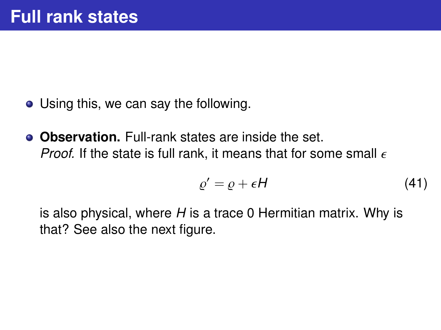- Using this, we can say the following.
- **Observation.** Full-rank states are inside the set. *Proof.* If the state is full rank, it means that for some small  $\epsilon$

$$
\varrho' = \varrho + \epsilon H \tag{41}
$$

is also physical, where *H* is a trace 0 Hermitian matrix. Why is that? See also the next figure.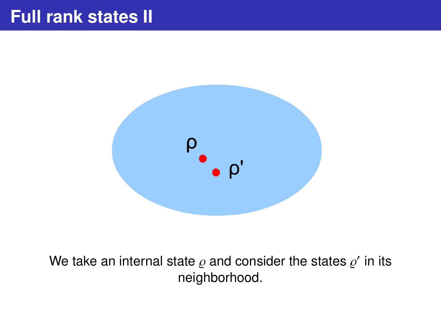# **Full rank states II**



#### We take an internal state  $\rho$  and consider the states  $\rho'$  in its<br>neighborhood neighborhood.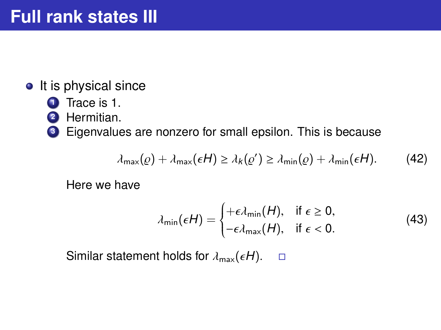- $\bullet$  It is physical since
	- **<sup>1</sup>** Trace is 1.
	- **<sup>2</sup>** Hermitian.
	- **<sup>3</sup>** Eigenvalues are nonzero for small epsilon. This is because

$$
\lambda_{\max}(\varrho) + \lambda_{\max}(\epsilon H) \ge \lambda_k(\varrho') \ge \lambda_{\min}(\varrho) + \lambda_{\min}(\epsilon H). \tag{42}
$$

Here we have

$$
\lambda_{\min}(\epsilon H) = \begin{cases} +\epsilon \lambda_{\min}(H), & \text{if } \epsilon \ge 0, \\ -\epsilon \lambda_{\max}(H), & \text{if } \epsilon < 0. \end{cases}
$$
 (43)

Similar statement holds for  $\lambda_{\text{max}}(\epsilon H)$ .  $\Box$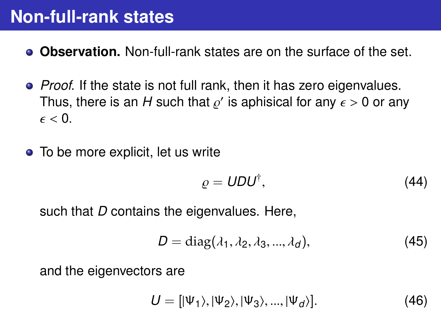- **Observation.** Non-full-rank states are on the surface of the set.
- *Proof.* If the state is not full rank, then it has zero eigenvalues. Thus, there is an H such that  $\varrho'$  is aphisical for any  $\epsilon > 0$  or any  $\epsilon > 0$  $\epsilon < 0$ .
- To be more explicit, let us write

$$
\varrho = UDU^{\dagger}, \qquad (44)
$$

such that *D* contains the eigenvalues. Here,

$$
D = \text{diag}(\lambda_1, \lambda_2, \lambda_3, ..., \lambda_d), \tag{45}
$$

and the eigenvectors are

$$
U = [|\Psi_1\rangle, |\Psi_2\rangle, |\Psi_3\rangle, ..., |\Psi_d\rangle]. \tag{46}
$$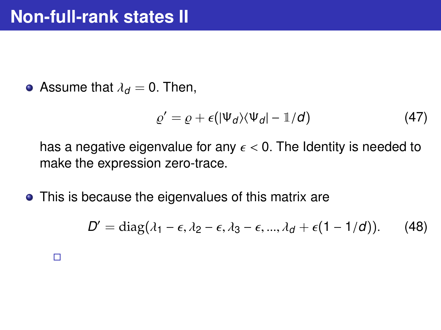• Assume that  $\lambda_d = 0$ . Then,

$$
\varrho' = \varrho + \epsilon (|\Psi_d\rangle\langle\Psi_d| - \mathbb{1}/d) \tag{47}
$$

has a negative eigenvalue for any  $\epsilon$  < 0. The Identity is needed to make the expression zero-trace.

• This is because the eigenvalues of this matrix are

$$
D' = \text{diag}(\lambda_1 - \epsilon, \lambda_2 - \epsilon, \lambda_3 - \epsilon, ..., \lambda_d + \epsilon(1 - 1/d)).
$$
 (48)

□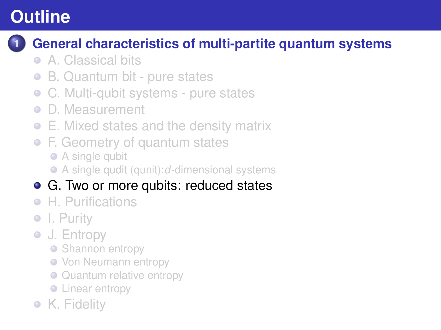# <span id="page-41-0"></span>**Outline**

## **1 [General characteristics of multi-partite quantum systems](#page-1-0)**

- [A. Classical bits](#page-1-0)
- [B. Quantum bit pure states](#page-11-0)  $\bullet$
- [C. Multi-qubit systems pure states](#page-13-0)  $\bullet$
- [D. Measurement](#page-17-0)  $\bullet$
- [E. Mixed states and the density matrix](#page-19-0)
- [F. Geometry of quantum states](#page-25-0)
	- [A single qubit](#page-26-0)
	- A single qudit (qunit):*d*[-dimensional systems](#page-29-0)

## • [G. Two or more qubits: reduced states](#page-41-0)

- [H. Purifications](#page-45-0)
- [I. Purity](#page-49-0)
- **[J. Entropy](#page-51-0)** 
	- [Shannon entropy](#page-52-0)
	- **[Von Neumann entropy](#page-55-0)**
	- [Quantum relative entropy](#page-59-0)
	- **C** [Linear entropy](#page-61-0)
- [K. Fidelity](#page-62-0)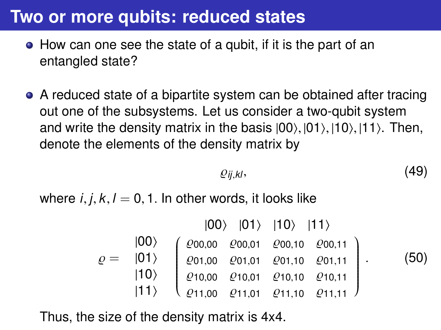# **Two or more qubits: reduced states**

- How can one see the state of a qubit, if it is the part of an entangled state?
- A reduced state of a bipartite system can be obtained after tracing out one of the subsystems. Let us consider a two-qubit system and write the density matrix in the basis  $|00\rangle$ ,  $|01\rangle$ ,  $|10\rangle$ ,  $|11\rangle$ . Then, denote the elements of the density matrix by

$$
Q_{ij,kl},\tag{49}
$$

where  $i, j, k, l = 0, 1$ . In other words, it looks like

$$
\varrho = \n\begin{array}{c}\n\ket{00} & \ket{01} & \ket{10} & \ket{11} \\
\varrho = \n\begin{array}{c}\n\ket{01} & \begin{pmatrix} \varrho_{00,00} & \varrho_{00,01} & \varrho_{00,10} & \varrho_{00,11} \\ \varrho_{01,00} & \varrho_{01,01} & \varrho_{01,10} & \varrho_{01,11} \\ \varrho_{10,00} & \varrho_{10,01} & \varrho_{10,10} & \varrho_{10,11} \\ \varrho_{11,00} & \varrho_{11,01} & \varrho_{11,10} & \varrho_{11,11}\n\end{pmatrix}\n\end{array} \n\end{array} \n\tag{50}
$$

Thus, the size of the density matrix is 4x4.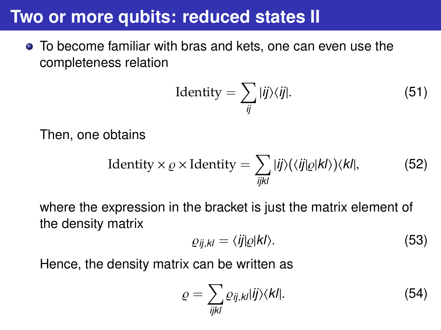## **Two or more qubits: reduced states II**

To become familiar with bras and kets, one can even use the completeness relation

Identity = 
$$
\sum_{ij} |ij\rangle\langle ij|
$$
. (51)

Then, one obtains

Identity 
$$
\times \rho \times
$$
 Identity  $=\sum_{ijkl} |ij\rangle \langle \langle ij|\rho|kl\rangle \rangle \langle kl|,$  (52)

where the expression in the bracket is just the matrix element of the density matrix

$$
\varrho_{ij,kl} = \langle ij|\varrho|kl\rangle. \tag{53}
$$

Hence, the density matrix can be written as

$$
\varrho = \sum_{ijkl} \varrho_{ij,kl} |ij\rangle\langle kl|.
$$
 (54)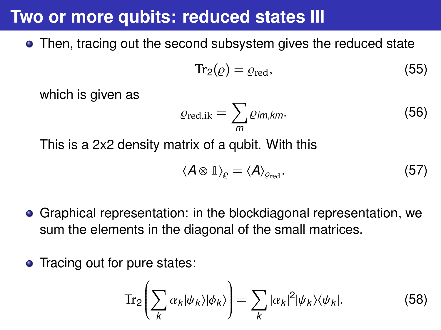# **Two or more qubits: reduced states III**

• Then, tracing out the second subsystem gives the reduced state

$$
\operatorname{Tr}_2(\varrho) = \varrho_{\text{red}},\tag{55}
$$

which is given as

$$
\varrho_{\text{red},ik} = \sum_{m} \varrho_{im,km}.\tag{56}
$$

This is a 2x2 density matrix of a qubit. With this

$$
\langle A \otimes \mathbb{1} \rangle_{\varrho} = \langle A \rangle_{\varrho_{\text{red}}}.
$$
 (57)

- Graphical representation: in the blockdiagonal representation, we sum the elements in the diagonal of the small matrices.
- Tracing out for pure states:

$$
\mathrm{Tr}_{2}\left(\sum_{k} \alpha_{k} |\psi_{k}\rangle |\phi_{k}\rangle\right) = \sum_{k} |\alpha_{k}|^{2} |\psi_{k}\rangle\langle\psi_{k}|.
$$
 (58)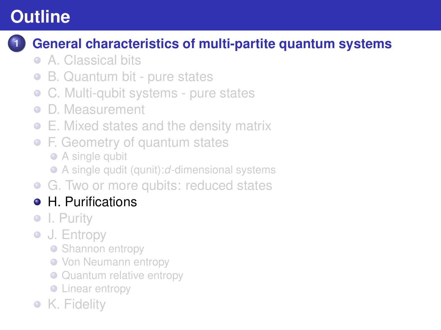# <span id="page-45-0"></span>**Outline**

### **1 [General characteristics of multi-partite quantum systems](#page-1-0)**

- [A. Classical bits](#page-1-0)
- [B. Quantum bit pure states](#page-11-0)  $\bullet$
- $\bullet$ [C. Multi-qubit systems - pure states](#page-13-0)
- [D. Measurement](#page-17-0)  $\bullet$
- [E. Mixed states and the density matrix](#page-19-0)
- [F. Geometry of quantum states](#page-25-0)
	- [A single qubit](#page-26-0)
	- A single qudit (qunit):*d*[-dimensional systems](#page-29-0)
- **G.** Two or more qubits: reduced states

## **•** [H. Purifications](#page-45-0)

- [I. Purity](#page-49-0)
- **[J. Entropy](#page-51-0)** 
	- [Shannon entropy](#page-52-0)
	- **[Von Neumann entropy](#page-55-0)**
	- [Quantum relative entropy](#page-59-0)
	- **C** [Linear entropy](#page-61-0)
- [K. Fidelity](#page-62-0)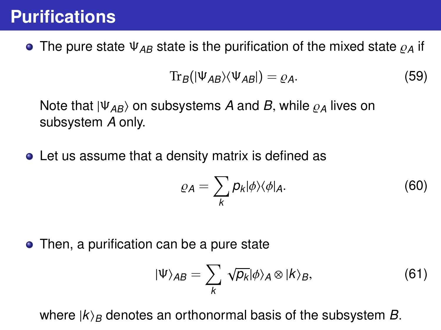• The pure state  $\Psi_{AB}$  state is the purification of the mixed state  $\rho_A$  if

$$
\text{Tr}_B(|\Psi_{AB}\rangle\langle\Psi_{AB}|) = \varrho_A. \tag{59}
$$

Note that  $|\Psi_{AB}\rangle$  on subsystems *A* and *B*, while  $\rho_A$  lives on subsystem *A* only.

Let us assume that a density matrix is defined as

$$
\varrho_A = \sum_k p_k |\phi\rangle\langle\phi|_A. \tag{60}
$$

• Then, a purification can be a pure state

$$
|\Psi\rangle_{AB} = \sum_{k} \sqrt{p_k} |\phi\rangle_A \otimes |k\rangle_B, \tag{61}
$$

where  $|k\rangle_B$  denotes an orthonormal basis of the subsystem *B*.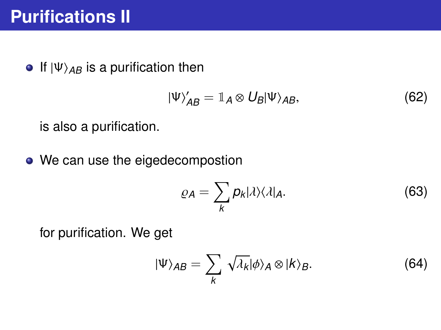**If**  $|\Psi\rangle_{AB}$  is a purification then

$$
|\Psi\rangle'_{AB} = \mathbb{1}_A \otimes U_B |\Psi\rangle_{AB}, \tag{62}
$$

is also a purification.

• We can use the eigedecompostion

$$
\varrho_A = \sum_k p_k |\lambda\rangle\langle\lambda|_A. \tag{63}
$$

for purification. We get

$$
|\Psi\rangle_{AB} = \sum_{k} \sqrt{\lambda_k} |\phi\rangle_A \otimes |k\rangle_B. \tag{64}
$$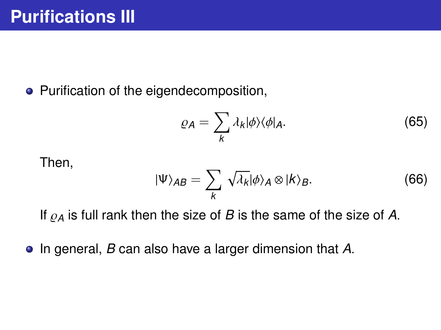• Purification of the eigendecomposition,

$$
\varrho_A = \sum_k \lambda_k |\phi\rangle\langle\phi|_A. \tag{65}
$$

Then,

$$
|\Psi\rangle_{AB} = \sum_{k} \sqrt{\lambda_k} |\phi\rangle_A \otimes |k\rangle_B. \tag{66}
$$

If  $\rho_A$  is full rank then the size of *B* is the same of the size of *A*.

In general, *<sup>B</sup>* can also have a larger dimension that *<sup>A</sup>*.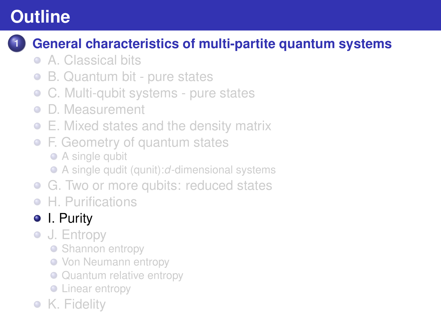# <span id="page-49-0"></span>**Outline**

## **1 [General characteristics of multi-partite quantum systems](#page-1-0)**

- [A. Classical bits](#page-1-0)
- [B. Quantum bit pure states](#page-11-0)  $\bullet$
- $\bullet$ [C. Multi-qubit systems - pure states](#page-13-0)
- [D. Measurement](#page-17-0)  $\bullet$
- [E. Mixed states and the density matrix](#page-19-0)
- [F. Geometry of quantum states](#page-25-0)
	- [A single qubit](#page-26-0)
	- A single qudit (qunit):*d*[-dimensional systems](#page-29-0)
- **G.** Two or more qubits: reduced states
- [H. Purifications](#page-45-0)

## ● [I. Purity](#page-49-0)

- **[J. Entropy](#page-51-0)** 
	- [Shannon entropy](#page-52-0)
	- **[Von Neumann entropy](#page-55-0)**
	- [Quantum relative entropy](#page-59-0)
	- **C** [Linear entropy](#page-61-0)
- [K. Fidelity](#page-62-0)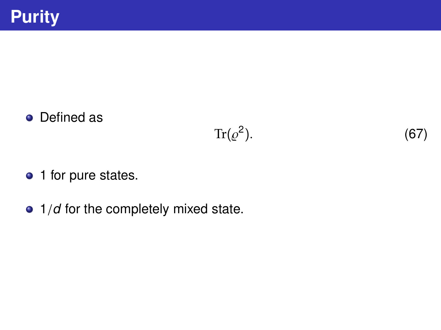#### • Defined as

$$
Tr(\varrho^2). \tag{67}
$$

- 1 for pure states.
- 1/*d* for the completely mixed state.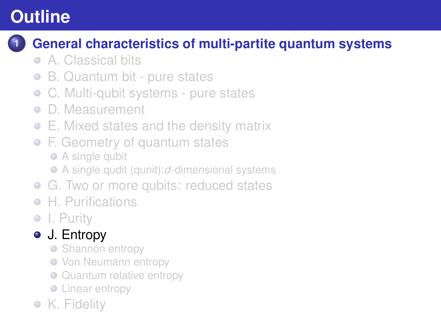# <span id="page-51-0"></span>**Outline**

## **1 [General characteristics of multi-partite quantum systems](#page-1-0)**

- [A. Classical bits](#page-1-0)
- [B. Quantum bit pure states](#page-11-0)  $\bullet$
- $\bullet$ [C. Multi-qubit systems - pure states](#page-13-0)
- [D. Measurement](#page-17-0)  $\bullet$
- [E. Mixed states and the density matrix](#page-19-0)
- [F. Geometry of quantum states](#page-25-0)
	- [A single qubit](#page-26-0)
	- A single qudit (qunit):*d*[-dimensional systems](#page-29-0)
- **G.** Two or more qubits: reduced states
- [H. Purifications](#page-45-0)
- [I. Purity](#page-49-0)

## ● **[J. Entropy](#page-51-0)**

- [Shannon entropy](#page-52-0)
- **[Von Neumann entropy](#page-55-0)**
- [Quantum relative entropy](#page-59-0)
- **C** [Linear entropy](#page-61-0)
- [K. Fidelity](#page-62-0)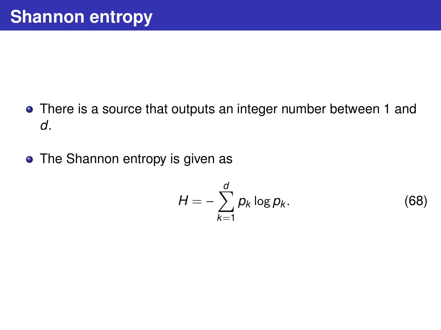- <span id="page-52-0"></span>There is a source that outputs an integer number between 1 and *d*.
- The Shannon entropy is given as

$$
H = -\sum_{k=1}^{d} p_k \log p_k. \tag{68}
$$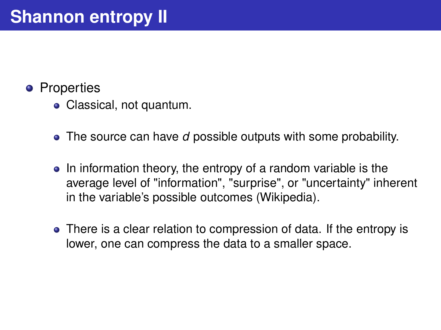#### **•** Properties

- Classical, not quantum.
- The source can have *d* possible outputs with some probability.
- In information theory, the entropy of a random variable is the average level of "information", "surprise", or "uncertainty" inherent in the variable's possible outcomes (Wikipedia).
- There is a clear relation to compression of data. If the entropy is lower, one can compress the data to a smaller space.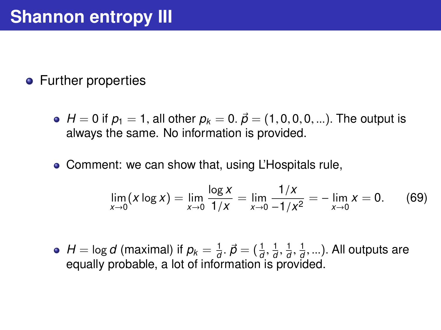#### **•** Further properties

- $H = 0$  if  $p_1 = 1$ , all other  $p_k = 0$ .  $\vec{p} = (1, 0, 0, 0, ...)$ . The output is always the same. No information is provided.
- Comment: we can show that, using L'Hospitals rule,

$$
\lim_{x \to 0} (x \log x) = \lim_{x \to 0} \frac{\log x}{1/x} = \lim_{x \to 0} \frac{1/x}{-1/x^2} = -\lim_{x \to 0} x = 0. \tag{69}
$$

*H* = log *d* (maximal) if  $p_k = \frac{1}{d}$ .  $\vec{\rho} = (\frac{1}{d}, \frac{1}{d}, \frac{1}{d}, \frac{1}{d}, \ldots)$ . All outputs are equally probable, a lot of information is provided.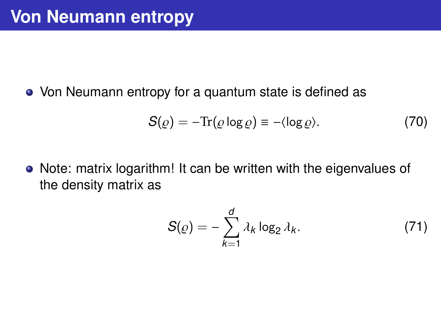<span id="page-55-0"></span>• Von Neumann entropy for a quantum state is defined as

$$
S(\varrho) = -\text{Tr}(\varrho \log \varrho) \equiv -\langle \log \varrho \rangle. \tag{70}
$$

• Note: matrix logarithm! It can be written with the eigenvalues of the density matrix as

$$
S(\varrho) = -\sum_{k=1}^{d} \lambda_k \log_2 \lambda_k. \tag{71}
$$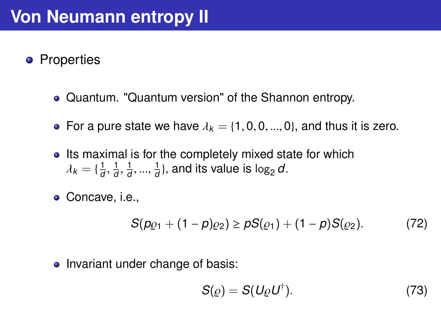#### **•** Properties

- Quantum. "Quantum version" of the Shannon entropy.
- For a pure state we have  $\lambda_k = \{1, 0, 0, ..., 0\}$ , and thus it is zero.
- Its maximal is for the completely mixed state for which  $\lambda_k = \{\frac{1}{d},$ 1 *d* , 1 *d* , ...,  $\frac{1}{d}$ }, and its value is log<sub>2</sub> *d*.
- Concave, i.e.,

$$
S(p_{\mathcal{Q}1}+(1-p)_{\mathcal{Q}2})\geq pS(\mathcal{Q}_1)+(1-p)S(\mathcal{Q}_2). \hspace{1cm} (72)
$$

• Invariant under change of basis:

$$
S(\varrho) = S(U_{\varrho}U^{\dagger}). \tag{73}
$$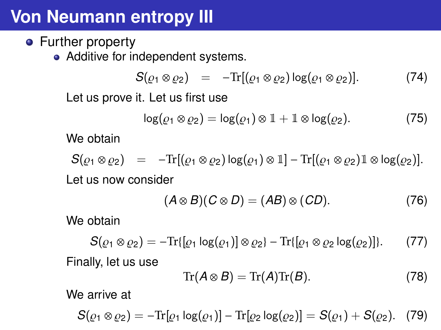# **Von Neumann entropy III**

**•** Further property

• Additive for independent systems.

$$
S(\varrho_1 \otimes \varrho_2) = -\text{Tr}[(\varrho_1 \otimes \varrho_2) \log(\varrho_1 \otimes \varrho_2)]. \tag{74}
$$

Let us prove it. Let us first use

$$
\log(\varrho_1 \otimes \varrho_2) = \log(\varrho_1) \otimes \mathbb{1} + \mathbb{1} \otimes \log(\varrho_2). \tag{75}
$$

We obtain

 $S(\varrho_1 \otimes \varrho_2) = -\text{Tr}[(\varrho_1 \otimes \varrho_2) \log(\varrho_1) \otimes 1] - \text{Tr}[(\varrho_1 \otimes \varrho_2) \mathbbm{1} \otimes \log(\varrho_2)].$ Let us now consider

$$
(A \otimes B)(C \otimes D) = (AB) \otimes (CD). \tag{76}
$$

We obtain

$$
S(\varrho_1 \otimes \varrho_2) = -\mathrm{Tr}\{[\varrho_1 \log(\varrho_1)] \otimes \varrho_2\} - \mathrm{Tr}\{[\varrho_1 \otimes \varrho_2 \log(\varrho_2)]\}.
$$
 (77)

Finally, let us use

$$
\operatorname{Tr}(A \otimes B) = \operatorname{Tr}(A)\operatorname{Tr}(B). \tag{78}
$$

We arrive at

$$
S(\varrho_1 \otimes \varrho_2) = -\text{Tr}[\varrho_1 \log(\varrho_1)] - \text{Tr}[\varrho_2 \log(\varrho_2)] = S(\varrho_1) + S(\varrho_2). \quad (79)
$$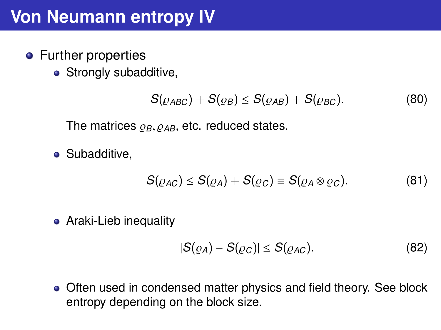# **Von Neumann entropy IV**

- **•** Further properties
	- Strongly subadditive,

$$
S(\varrho_{ABC})+S(\varrho_B)\leq S(\varrho_{AB})+S(\varrho_{BC}). \hspace{1.5cm} (80)
$$

The matrices  $\rho_B$ ,  $\rho_{AB}$ , etc. reduced states.

• Subadditive,

$$
S(\varrho_{AC}) \leq S(\varrho_A) + S(\varrho_C) \equiv S(\varrho_A \otimes \varrho_C). \tag{81}
$$

• Araki-Lieb inequality

$$
|S(\varrho_A) - S(\varrho_C)| \le S(\varrho_{AC}). \tag{82}
$$

Often used in condensed matter physics and field theory. See block entropy depending on the block size.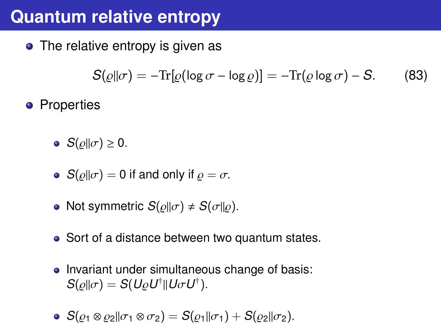# <span id="page-59-0"></span>**Quantum relative entropy**

• The relative entropy is given as

$$
S(\varrho||\sigma) = -\text{Tr}[\varrho(\log \sigma - \log \varrho)] = -\text{Tr}(\varrho \log \sigma) - S. \tag{83}
$$

**•** Properties

 $\bullet$  *S*( $\rho$ || $\sigma$ )  $\geq$  0.

- $S(\rho||\sigma) = 0$  if and only if  $\rho = \sigma$ .
- Not symmetric  $S(\rho||\sigma) \neq S(\sigma||\rho)$ .
- Sort of a distance between two quantum states.
- Invariant under simultaneous change of basis:  $S(\varrho\|\sigma) = S(U_{\varrho}U^{\dagger}\|U_{\sigma}U^{\dagger}).$

• 
$$
S(\varrho_1 \otimes \varrho_2 || \sigma_1 \otimes \sigma_2) = S(\varrho_1 || \sigma_1) + S(\varrho_2 || \sigma_2).
$$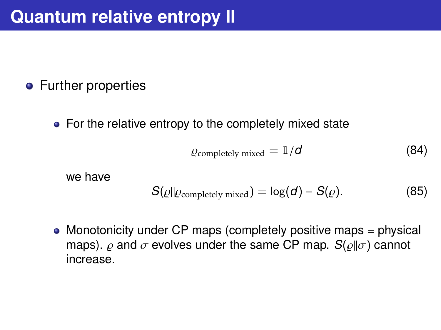#### **•** Further properties

• For the relative entropy to the completely mixed state

$$
Q_{\text{completely mixed}} = 1/d \tag{84}
$$

we have

$$
S(\varrho||\varrho_{\text{completely mixed}}) = \log(d) - S(\varrho). \tag{85}
$$

• Monotonicity under CP maps (completely positive maps = physical maps).  $\rho$  and  $\sigma$  evolves under the same CP map.  $S(\rho||\sigma)$  cannot increase.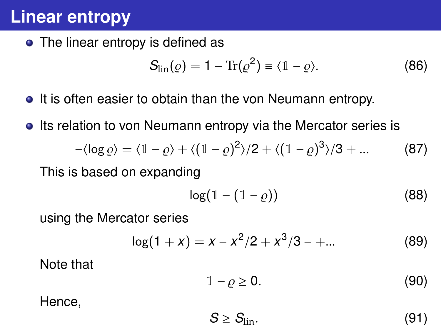# <span id="page-61-0"></span>**Linear entropy**

• The linear entropy is defined as

$$
S_{\rm lin}(\varrho) = 1 - \text{Tr}(\varrho^2) \equiv \langle 1 - \varrho \rangle. \tag{86}
$$

- It is often easier to obtain than the von Neumann entropy.
- **Its relation to von Neumann entropy via the Mercator series is**

$$
-\langle \log \varrho \rangle = \langle \mathbb{1} - \varrho \rangle + \langle (\mathbb{1} - \varrho)^2 \rangle / 2 + \langle (\mathbb{1} - \varrho)^3 \rangle / 3 + \dots \tag{87}
$$

This is based on expanding

$$
\log(1-(1-\varrho))\tag{88}
$$

using the Mercator series

$$
log(1 + x) = x - x2/2 + x3/3 - + ...
$$
 (89)

Note that

$$
1 - \varrho \ge 0. \tag{90}
$$

Hence,

$$
S \geq S_{\rm lin}. \tag{91}
$$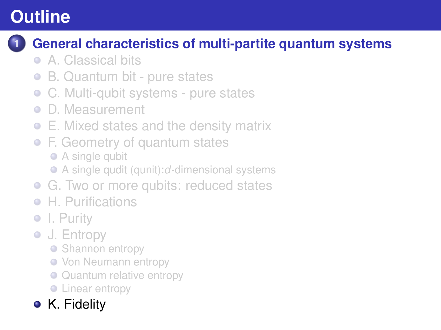# <span id="page-62-0"></span>**Outline**

## **1 [General characteristics of multi-partite quantum systems](#page-1-0)**

- [A. Classical bits](#page-1-0)
- [B. Quantum bit pure states](#page-11-0)  $\bullet$
- [C. Multi-qubit systems pure states](#page-13-0)  $\bullet$
- [D. Measurement](#page-17-0)  $\bullet$
- [E. Mixed states and the density matrix](#page-19-0)
- [F. Geometry of quantum states](#page-25-0)
	- [A single qubit](#page-26-0)
	- A single qudit (qunit):*d*[-dimensional systems](#page-29-0)
- **G.** Two or more qubits: reduced states
- [H. Purifications](#page-45-0)
- [I. Purity](#page-49-0)
- **[J. Entropy](#page-51-0)** 
	- [Shannon entropy](#page-52-0)
	- **[Von Neumann entropy](#page-55-0)**
	- [Quantum relative entropy](#page-59-0)
	- **C** [Linear entropy](#page-61-0)
- [K. Fidelity](#page-62-0)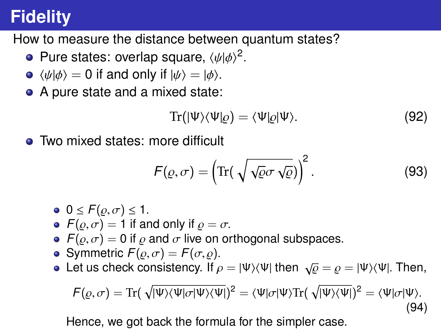# **Fidelity**

How to measure the distance between quantum states?

- Pure states: overlap square,  $\langle \psi | \phi \rangle^2$
- $\bullet \langle \psi | \phi \rangle = 0$  if and only if  $|\psi \rangle = |\phi \rangle$ .
- A pure state and a mixed state:

$$
\operatorname{Tr}(|\Psi\rangle\langle\Psi|\varrho)=\langle\Psi|\varrho|\Psi\rangle.
$$
 (92)

**•** Two mixed states: more difficult

$$
F(\varrho, \sigma) = \left( \text{Tr}(\sqrt{\sqrt{\varrho}\sigma \sqrt{\varrho}}) \right)^2. \tag{93}
$$

- $\bullet$  0  $\leq$   $F(\rho, \sigma) \leq 1$ .
- $F(\rho, \sigma) = 1$  if and only if  $\rho = \sigma$ .
- $F(\rho, \sigma) = 0$  if  $\rho$  and  $\sigma$  live on orthogonal subspaces.
- Symmetric  $F(\rho, \sigma) = F(\sigma, \rho)$ .
- Let us check consistency. If  $\rho = |\Psi\rangle\langle\Psi|$  then  $\sqrt{\varrho} = \varrho = |\Psi\rangle\langle\Psi|$ . Then,

$$
F(\varrho,\sigma)=\text{Tr}(\sqrt{|\Psi\rangle\langle\Psi|\sigma|\Psi\rangle\langle\Psi|})^2=\langle\Psi|\sigma|\Psi\rangle\text{Tr}(\sqrt{|\Psi\rangle\langle\Psi|})^2=\langle\Psi|\sigma|\Psi\rangle.
$$
\n(94)

Hence, we got back the formula for the simpler case.